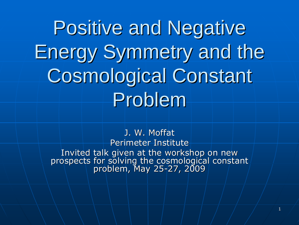**Positive and Negative** Energy Symmetry and the Energy Symmetry and the Cosmological Constant Problem

> J. W. Moffat Perimeter Institute

Invited talk given at the workshop on new<br>| prospects for solving the cosmological constant<br>| problem, May 25-27, 2009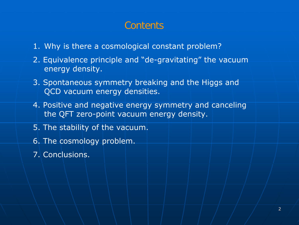## Contents

- 1. Why is there a cosmological constant problem?
- 2. Equivalence principle and "de-gravitating" the vacuum energy density.
- 3. Spontaneous symmetry breaking and the Higgs and QCD vacuum energy densities.
- 4. Positive and negative energy symmetry and canceling the QFT zero-point vacuum energy density.
- 5. The stability of the vacuum.
- 6. The cosmology problem.
- 7. Conclusions.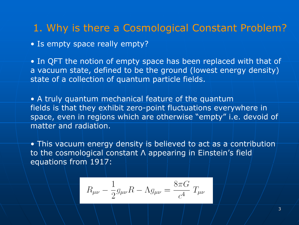## 1. Why is there a Cosmological Constant Problem?

• Is empty space really empty?

• In QFT the notion of empty space has been replaced with that of a vacuum state, defined to be the ground (lowest energy density) state of a collection of quantum particle fields.

• A truly quantum mechanical feature of the quantum fields is that they exhibit zero-point fluctuations everywhere in space, even in regions which are otherwise "empty" i.e. devoid of matter and radiation.

• This vacuum energy density is believed to act as a contribution to the cosmological constant Λ appearing in Einstein's field equations from 1917:

$$
R_{\mu\nu}-\frac{1}{2}g_{\mu\nu}R-\Lambda g_{\mu\nu}=\frac{8\pi G}{c^4}\;T_{\mu\nu}
$$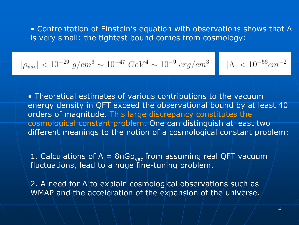• Confrontation of Einstein's equation with observations shows that Λ is very small: the tightest bound comes from cosmology:

$$
\rho_{vac}|<10^{-29}~g/cm^3\sim 10^{-47}~GeV^4\sim 10^{-9}~erg/cm^3~\text{a}~|\Lambda|<10^{-56}cm^{-2}
$$

• Theoretical estimates of various contributions to the vacuum energy density in QFT exceed the observational bound by at least 40 orders of magnitude. This large discrepancy constitutes the cosmological constant problem. One can distinguish at least two different meanings to the notion of a cosmological constant problem:

1. Calculations of Λ $|$  = 8πGρ $_{\rm vac}$  from assuming real QFT vacuum fluctuations, lead to a huge fine-tuning problem.

2. A need for Λ\to explain cosmological observations such as-WMAP and the acceleration of the expansion of the universe.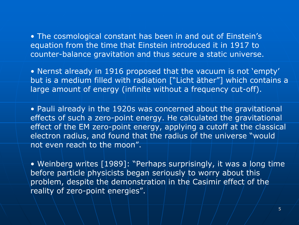• The cosmological constant has been in and out of Einstein's equation from the time that Einstein introduced it in 1917 to counter-balance gravitation and thus secure a static universe.

• Nernst already in 1916 proposed that the vacuum is not 'empty' but is a medium filled with radiation ["Licht äther"] which contains a large amount of energy (infinite without a frequency cut-off).

• Pauli already in the 1920s was concerned about the gravitational effects of such a zero-point energy. He calculated the gravitational effect of the EM zero-point energy, applying a cutoff at the classical electron radius, and found that the radius of the universe "would not even reach to the moon".

• Weinberg writes [1989]: "Perhaps surprisingly, it was a long time before particle physicists began seriously to worry about this problem, despite the demonstration in the Casimir effect of the reality of zero-point energies".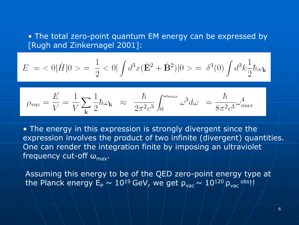• The total zero-point quantum EM energy can be expressed by [Rugh and Zinkernagel 2001]:

$$
E = \langle 0|\hat{H}|0 \rangle = \frac{1}{2} \langle 0| \int d^3x (\hat{\mathbf{E}}^2 + \hat{\mathbf{B}}^2)|0 \rangle = \delta^3(0) \int d^3k \frac{1}{2} \hbar \omega_{\mathbf{k}}
$$

$$
\rho_{vac} = \frac{E}{V} = \frac{1}{V} \sum_{\mathbf{k}} \frac{1}{2} \hbar \omega_{\mathbf{k}} \quad \approx \quad \frac{\hbar}{2\pi^2 c^3} \int_0^{\omega_{max}} \omega^3 d\omega \quad = \frac{\hbar}{8\pi^2 c^3} \omega_{max}^4
$$

• The energy in this expression is strongly divergent since the expression involves the product of two infinite (divergent) quantities. One can render the integration finite by imposing an ultraviolet frequency cut-off ω<sub>max</sub>.

Assuming this energy to be of the QED zero-point energy type at the Planck energy  $\mathsf{E}_\mathsf{P}\sim 10^{19}\,\mathsf{GeV}$ , we get  $\mathsf{p}_\mathsf{vac}^\top\sim 10^{120}/\mathsf{p}_\mathsf{vac}^{-\mathsf{obs}}!!$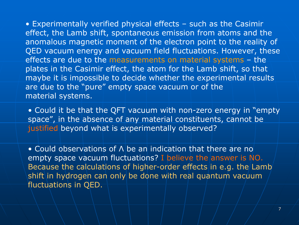• Experimentally verified physical effects – such as the Casimir effect, the Lamb shift, spontaneous emission from atoms and the anomalous magnetic moment of the electron point to the reality of QED vacuum energy and vacuum field fluctuations. However, these effects are due to the measurements on material systems – the plates in the Casimir effect, the atom for the Lamb shift, so that maybe it is impossible to decide whether the experimental results are due to the "pure" empty space vacuum or of the material systems.

• Could it be that the QFT vacuum with non-zero energy in "empty space", in the absence of any material constituents, cannot be justified beyond what is experimentally observed?

• Could observations of Λ be an indication that there are no empty space vacuum fluctuations? I believe the answer is NO. Because the calculations of higher-order effects in e.g. the Lamb shift in hydrogen can only be done with real quantum vacuum fluctuations in QED.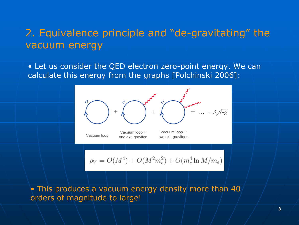## 2. Equivalence principle and "de-gravitating" the vacuum energy

• Let us consider the QED electron zero-point energy. We can calculate this energy from the graphs [Polchinski 2006]:



 $\rho_V = O(M^4) + O(M^2 m_e^2) + O(m_e^4 \ln M/m_e)$ 

 $\bullet$  This produces\a vacuum energy density more than 40  $/$ orders of magnitude to large!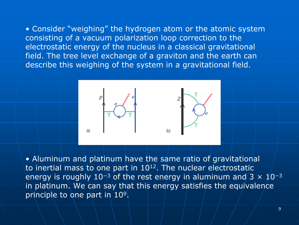• Consider "weighing" the hydrogen atom or the atomic system consisting of a vacuum polarization loop correction to the electrostatic energy of the nucleus in a classical gravitational field. The tree level exchange of a graviton and the earth can describe this weighing of the system in a gravitational field.



• Aluminum and platinum have the same ratio of gravitational to inertial mass to one part in 1012. The nuclear electrostatic energy is roughly  $10^{+3}$  of the rest energy in aluminum and 3  $\times$   $10^{-3}$ in platinum. We can say that this energy satisfies the equivalence principle to one part in 10 9.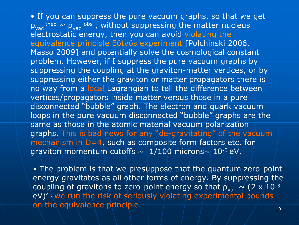• If you can suppress the pure vacuum graphs, so that we get  $\rho_{\textup{vac}}$  theo  $\sim\rho_{\textup{vac}}$  <sup>obs</sup> , without suppressing the matter nucleus electrostatic energy, then you can avoid violating the equivalence principle Eötvös experiment [Polchinski 2006, Masso 2009] and potentially solve the cosmological constant problem. However, if I suppress the pure vacuum graphs by suppressing the coupling at the graviton-matter vertices, or by suppressing either the graviton or matter propagators there is no way from a local Lagrangian to tell the difference between vertices/propagators inside matter versus those in a pure disconnected "bubble" graph. The electron and quark vacuum loops in the pure vacuum disconnected "bubble" graphs are the same as those in the atomic material vacuum polarization graphs. This is bad news for any "de-gravitating" of the vacuum mechanism in D=4, such as composite form factors etc. for graviton momentum cutoffs  $\sim$  1/100 microns $\sim$  10<sup>-3</sup> eV.

• The problem is that we presuppose that the quantum zero-point energy gravitates as all other forms of energy. By suppressing the coupling of gravitons to zero-point energy so that  $\rho_{\rm vac} \sim$  (2 x/10<sup>-3</sup>)  $eV)^4$ , we run the risk of seriously violating experimental bounds on the equivalence principle.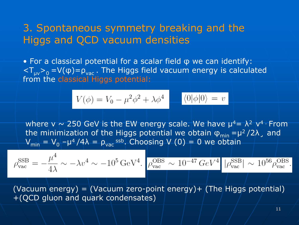### 3. Spontaneous symmetry breaking and the Higgs and QCD vacuum densities

• For a classical potential for a scalar field φ we can identify:  $<$ T<sub>µv</sub>><sub>0</sub> =V(φ)= $\rho_{\rm vac}$  . The Higgs field vacuum energy is calculated from the classical Higgs potential:

$$
V(\phi) = V_0 - \mu^2 \phi^2 + \lambda \phi^4 \quad \langle 0 | \phi | 0 \rangle = v
$$

where v  $\sim$  250 GeV is the EW energy scale. We have  $\mu^4$ =  $\lambda^2$  v<sup>4</sup> · From the minimization of the Higgs potential we obtain  $\phi_{\text{min}} = \mu^2 / 2 \lambda$  , and  $\mathsf{V}_{\mathsf{min}} = \mathsf{V}_{\mathsf{0}} - \mathsf{\mu}^4 / 4\lambda = \rho_{\mathsf{vac}}$ ssb. Choosing  $\mathsf{V} \ (\mathsf{0}) = \mathsf{0}$  we obtain

$$
\rho_{\rm vac}^{\rm SSB} = -\frac{\mu^4}{4\lambda} \sim -\lambda v^4 \sim -10^5 \,\mathrm{GeV}^4. \quad \rho_{\rm vac}^{\rm OBS} \sim 10^{-47} \, \text{GeV}^4. \quad |\rho_{\rm vac}^{\rm SSB}| \sim 10^{56} \rho_{\rm vac}^{\rm OBS}.
$$

 $(Vacuum energy) = (Vacuum zero-point/energy) + (The Higgs potential)$ +(QCD gluon and quark condensates)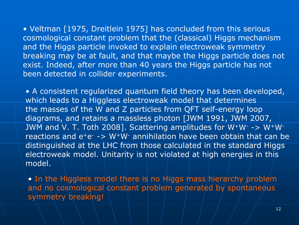• Veltman [1975, Dreitlein 1975] has concluded from this serious cosmological constant problem that the (classical) Higgs mechanism and the Higgs particle invoked to explain electroweak symmetry breaking may be at fault, and that maybe the Higgs particle does not exist. Indeed, after more than 40 years the Higgs particle has not been detected in collider experiments.

• A consistent regularized quantum field theory has been developed, which leads to a Higgless electroweak model that determines the masses of the W and Z particles from QFT self-energy loop diagrams, and retains a massless photon [JWM 1991, JWM 2007, JWM and V. T. Toth 2008]. Scattering amplitudes for W+W- -> W+Wreactions and e<sup>+</sup>e<sup>-</sup> -> W<sup>+</sup>W<sup>-</sup> annihilation have been obtain that can be distinguished at the LHC from those calculated in the standard Higgs electroweak model. Unitarity is not violated at high energies in this model.

• In the Higgless model there is no Higgs mass hierarchy problem and no cosmological constant problem generated by spontaneous symmetry breaking!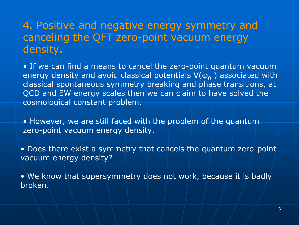# 4. Positive and negative energy symmetry and canceling the QFT zero-point vacuum energy density.

• If we can find a means to cancel the zero-point quantum vacuum energy density and avoid classical potentials  $\mathsf{V}(\mathsf{\phi}_0^-)$  associated with classical spontaneous symmetry breaking and phase transitions, at QCD and EW energy scales then we can claim to have solved the cosmological constant problem.

• However, we are still faced with the problem of the quantum zero-point vacuum energy density.

• Does there exist a symmetry that cancels the quantum zero-point vacuum energy density?

• We know that supersymmetry does not work, because it is badly broken.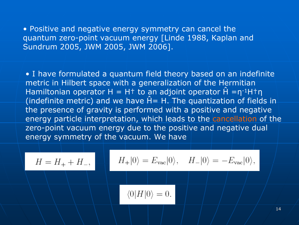• Positive and negative energy symmetry can cancel the quantum zero-point vacuum energy [Linde 1988, Kaplan and Sundrum 2005, JWM 2005, JWM 2006].

• I have formulated a quantum field theory based on an indefinite metric in Hilbert space with a generalization of the Hermitian Hamiltonian operator H = H<sup>+</sup> to an adjoint operator  $\hat{H} = \eta^{-1}H^+\eta$ (indefinite metric) and we have  $\hat{H}$  = H. The quantization of fields in the presence of gravity is performed with a positive and negative energy particle interpretation, which leads to the cancellation of the zero-point vacuum energy due to the positive and negative dual energy symmetry of the vacuum. We have

$$
H = H_{+} + H_{-},
$$
  

$$
H_{+}|0\rangle = E_{\text{vac}}|0\rangle, \quad H_{-}|0\rangle = -E_{\text{vac}}|0\rangle,
$$
  

$$
\langle 0|H|0\rangle = 0.
$$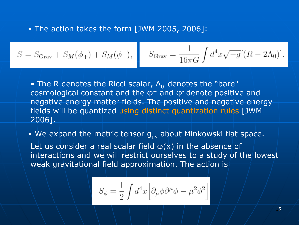• The action takes the form [JWM 2005, 2006]:

$$
S = S_{\text{Grav}} + S_M(\phi_+) + S_M(\phi_-), \quad S_{\text{Grav}} = \frac{1}{16\pi G} \int d^4x \sqrt{-g} [(R - 2\Lambda_0)].
$$

 $\bullet$  The R denotes the Ricci scalar,  $\mathsf{\Lambda}_{0}$  denotes the "bare"  $\overline{ }$ cosmological constant and the φ<sup>+</sup> and φ<sup>-</sup> denote positive and negative energy matter fields. The positive and negative energy fields will be quantized using distinct quantization rules [JWM 2006].

 $\bullet\,$  We expand the metric tensor  $\boldsymbol{\mathsf{g}}_{\mathsf{\mu}\mathsf{v}}$  about Minkowski flat space.

Let us consider a real scalar field φ(x) in the absence of interactions and we will restrict ourselves to a study of the lowest weak gravitational field approximation. The action is

$$
S_\phi = \frac{1}{2} \int d^4x \Big[ \partial_\mu \phi \partial^\mu \phi - \mu^2 \phi^2 \Big]
$$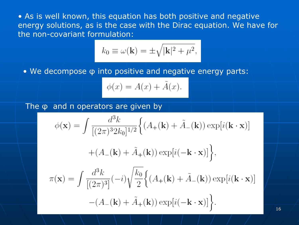• As is well known, this equation has both positive and negative energy solutions, as is the case with the Dirac equation. We have for the non-covariant formulation:

$$
k_0 \equiv \omega(\mathbf{k}) = \pm \sqrt{|\mathbf{k}|^2 + \mu^2},
$$

• We decompose φ into positive and negative energy parts:

$$
\phi(x) = A(x) + \tilde{A}(x).
$$

The φ and π operators are given by

$$
\phi(\mathbf{x}) = \int \frac{d^3k}{[(2\pi)^3 2k_0]^{1/2}} \Big\{ (A_+(\mathbf{k}) + \tilde{A}_-(\mathbf{k})) \exp[i(\mathbf{k} \cdot \mathbf{x})] + (A_-(\mathbf{k}) + \tilde{A}_+(\mathbf{k})) \exp[i(-\mathbf{k} \cdot \mathbf{x})] \Big\},
$$
  

$$
\pi(\mathbf{x}) = \int \frac{d^3k}{[(2\pi)^3]} (-i) \sqrt{\frac{k_0}{2}} \Big\{ (A_+(\mathbf{k}) + \tilde{A}_-(\mathbf{k})) \exp[i(\mathbf{k} \cdot \mathbf{x})] - (A_-(\mathbf{k}) + \tilde{A}_+(\mathbf{k})) \exp[i(-\mathbf{k} \cdot \mathbf{x})] \Big\}.
$$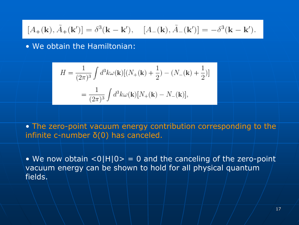$$
[A_{+}({\bf k}),\tilde{A}_{+}({\bf k}')]=\delta^{3}({\bf k}-{\bf k}'), \quad [A_{-}({\bf k}),\tilde{A}_{-}({\bf k}')]=-\delta^{3}({\bf k}-{\bf k}').
$$

• We obtain the Hamiltonian:

$$
H = \frac{1}{(2\pi)^3} \int d^3k \omega(\mathbf{k}) [(N_+(\mathbf{k}) + \frac{1}{2}) - (N_-(\mathbf{k}) + \frac{1}{2})]
$$
  
= 
$$
\frac{1}{(2\pi)^3} \int d^3k \omega(\mathbf{k}) [N_+(\mathbf{k}) - N_-(\mathbf{k})],
$$

• The zero-point vacuum energy contribution corresponding to the infinite c-number δ(0) has canceled.

• We now obtain  $<$  0 H  $|0>$  = 0 and the canceling of the zero-point vacuum energy can be shown to hold for all physical quantum fields.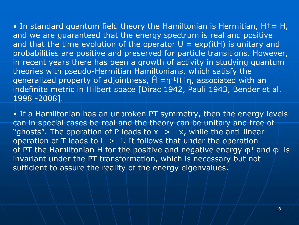• In standard quantum field theory the Hamiltonian is Hermitian, H $\dagger$  = H, and we are guaranteed that the energy spectrum is real and positive and that the time evolution of the operator  $U = exp(itH)$  is unitary and probabilities are positive and preserved for particle transitions. However, in recent years there has been a growth of activity in studying quantum theories with pseudo-Hermitian Hamiltonians, which satisfy the generalized property of adjointness,  $\hat{H} = \eta^{-1}H^{\dagger}\eta$ , associated with an indefinite metric in Hilbert space [Dirac 1942, Pauli 1943, Bender et al. 1998 -2008].

• If a Hamiltonian has an unbroken PT symmetry, then the energy levels can in special cases be real and the theory can be unitary and free of "ghosts". The operation of P leads to  $x \rightarrow -x$ , while the anti-linear operation of  $T$  leads to  $i \rightarrow -i$ . It follows that under the operation of PT the Hamiltonian H for the positive and negative energy  $\phi^+$  and  $\phi^-$  is invariant under the PT transformation, which is necessary but not sufficient to assure the reality of the energy eigenvalues.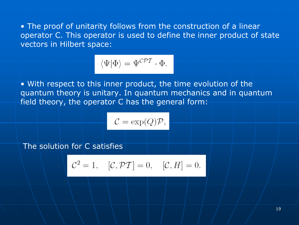• The proof of unitarity follows from the construction of a linear operator C. This operator is used to define the inner product of state vectors in Hilbert space:

$$
\langle \Psi | \Phi \rangle = \Psi^{\mathcal{CPT}} \cdot \Phi.
$$

• With respect to this inner product, the time evolution of the quantum theory is unitary. In quantum mechanics and in quantum field theory, the operator C has the general form:

$$
\mathcal{C} = \exp(Q)\mathcal{P},
$$

The solution for C satisfies

$$
\mathcal{C}^2 = 1, \quad [\mathcal{C}, \mathcal{PT}] = 0, \quad [\mathcal{C}, H] = 0.
$$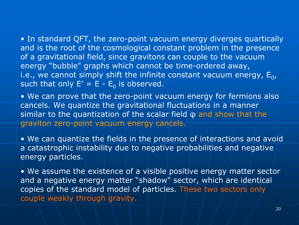• In standard QFT, the zero-point vacuum energy diverges quartically and is the root of the cosmological constant problem in the presence of a gravitational field, since gravitons can couple to the vacuum energy "bubble" graphs which cannot be time-ordered away, i.e., we cannot simply shift the infinite constant vacuum energy,  $\mathsf{E}_0$ , such that only  $\mathsf{E}'=\mathsf{E}$  -  $\mathsf{E}_0$  is observed.

• We can prove that the zero-point vacuum energy for fermions also cancels. We quantize the gravitational fluctuations in a manner similar to the quantization of the scalar field φ and show that the graviton zero-point vacuum energy cancels.

• We can quantize the fields in the presence of interactions and avoid a catastrophic instability due to negative probabilities and negative energy particles.

 $\bullet$  We assume the existence of a visible positive energy/matter sector and a negative energy matter "shadow" sector, which are identical copies of the standard model of particles. These two sectors only couple weakly through gravity.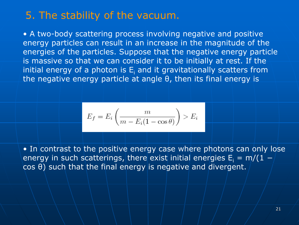### 5. The stability of the vacuum.

• A two-body scattering process involving negative and positive energy particles can result in an increase in the magnitude of the energies of the particles. Suppose that the negative energy particle is massive so that we can consider it to be initially at rest. If the initial energy of a photon is  $\mathsf{E}_\mathsf{i}$  and it gravitationally scatters from the negative energy particle at angle θ, then its final energy is

$$
E_f = E_i \left( \frac{m}{m - E_i (1 - \cos \theta)} \right) > E_i
$$

• In contrast to the positive energy case where photons can only lose energy in such scatterings, there exist initial energies  ${\sf E}_{\sf i}$  = m/(1  $$ cos θ) such that the final energy is negative and divergent.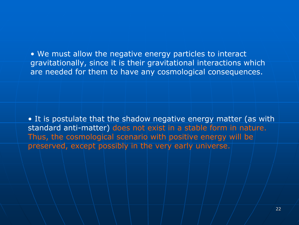• We must allow the negative energy particles to interact gravitationally, since it is their gravitational interactions which are needed for them to have any cosmological consequences.

• It is postulate that the shadow negative energy matter (as with standard anti-matter) does not exist in a stable form in nature. Thus, the cosmological scenario with positive energy will be preserved, except possibly in the very early universe.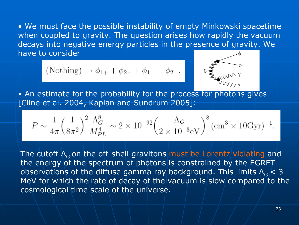• We must face the possible instability of empty Minkowski spacetime when coupled to gravity. The question arises how rapidly the vacuum decays into negative energy particles in the presence of gravity. We have to consider

(Nothing) 
$$
\rightarrow \phi_{1+} + \phi_{2+} + \phi_{1-} + \phi_{2-}
$$
.



• An estimate for the probability for the process for photons gives [Cline et al. 2004, Kaplan and Sundrum 2005]:

$$
P \sim \frac{1}{4\pi} \left(\frac{1}{8\pi^2}\right)^2 \frac{\Lambda_G^8}{M_{PL}^4} \sim 2 \times 10^{-92} \left(\frac{\Lambda_G}{2 \times 10^{-3} \text{eV}}\right)^8 (\text{cm}^3 \times 10 \text{Gyr})^{-1}.
$$

The cutoff  $\mathsf{\Lambda}_{\mathsf{G}}$  on the off-shell gravitons <mark>must be Lo</mark>rentz violating and the energy of the spectrum of photons is constrained by the EGRET observations of the diffuse gamma ray background. This limits  $\Lambda_{\rm G}$   $< 3$ MeV for which the rate of decay of the vacuum is slow compared to the cosmological time scale of the universe.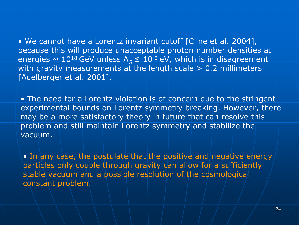• We cannot have a Lorentz invariant cutoff [Cline et al. 2004], because this will produce unacceptable photon number densities at energies  $\sim\,10^{18}\,\text{GeV}$  unless  $\mathsf{\Lambda}_{\mathsf{G}}\le\,10^{\text{-}3}\,\text{eV}$ , which is in disagreement with gravity measurements at the length scale > 0.2 millimeters [Adelberger et al. 2001].

• The need for a Lorentz violation is of concern due to the stringent experimental bounds on Lorentz symmetry breaking. However, there may be a more satisfactory theory in future that can resolve this problem and still maintain Lorentz symmetry and stabilize the vacuum.

• In any case, the postulate that the positive and negative energy particles only couple through gravity can allow for a sufficiently stable vacuum and a possible resolution of the cosmological constant problem.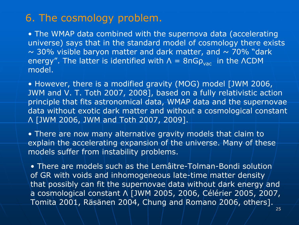### 6. The cosmology problem.

• The WMAP data combined with the supernova data (accelerating universe) says that in the standard model of cosmology there exists  $\sim$  30% visible baryon matter and dark matter, and  $\sim$  70% "dark energy". The latter is identified with  $\Lambda$  =  $8$ п $\mathsf{G} \rho_{\mathsf{vac}}$  in the <code>ACDM</code> model.

• However, there is a modified gravity (MOG) model [JWM 2006, JWM and V. T. Toth 2007, 2008], based on a fully relativistic action principle that fits astronomical data, WMAP data and the supernovae data without exotic dark matter and without a cosmological constant Λ [JWM 2006, JWM and Toth 2007, 2009].

• There are now many alternative gravity models that claim to explain the accelerating expansion of the universe. Many of these models suffer from instability problems.

 $\bullet$  There are models such as the Lemâitre-Tolman-Bondi solution of GR with voids and inhomogeneous late-time matter density that possibly can fit the supernovae data without dark energy and a cosmological constant Λ [JWM 2005, 2006, Célérier 2005, 2007, Tomita 2001, Räsänen 2004, Chung and Romano 2006, others].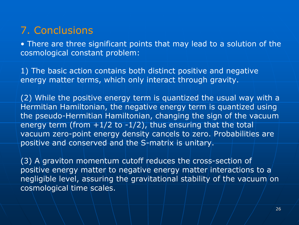## 7. Conclusions

• There are three significant points that may lead to a solution of the cosmological constant problem:

1) The basic action contains both distinct positive and negative energy matter terms, which only interact through gravity.

(2) While the positive energy term is quantized the usual way with a Hermitian Hamiltonian, the negative energy term is quantized using the pseudo-Hermitian Hamiltonian, changing the sign of the vacuum energy term (from  $+1/2$  to  $-1/2$ ), thus ensuring that the total vacuum zero-point energy density cancels to zero. Probabilities are positive and conserved and the S-matrix is unitary.

(3) A graviton momentum cutoff reduces the cross-section of positive energy matter to negative energy matter interactions to <sup>a</sup> negligible level, assuring the gravitational stability of the vacuum on cosmological time scales.